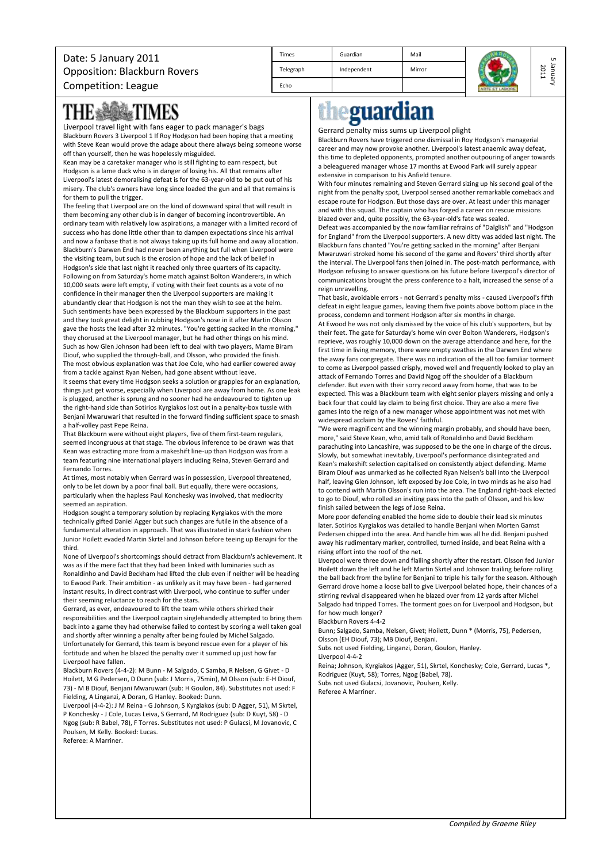| Date: 5 January 2011                | Times     | Guardian    | Mail   | UП            |
|-------------------------------------|-----------|-------------|--------|---------------|
| <b>Opposition: Blackburn Rovers</b> | Telegraph | Independent | Mirror | ិ<br>201<br>د |
| Competition: League                 | Echo      |             |        |               |

### **THE SALES** TIMES

Liverpool travel light with fans eager to pack manager's bags

Blackburn Rovers 3 Liverpool 1 If Roy Hodgson had been hoping that a meeting with Steve Kean would prove the adage about there always being someone worse off than yourself, then he was hopelessly misguided.

Kean may be a caretaker manager who is still fighting to earn respect, but Hodgson is a lame duck who is in danger of losing his. All that remains after Liverpool's latest demoralising defeat is for the 63-year-old to be put out of his misery. The club's owners have long since loaded the gun and all that remains is for them to pull the trigger.

The feeling that Liverpool are on the kind of downward spiral that will result in them becoming any other club is in danger of becoming incontrovertible. An ordinary team with relatively low aspirations, a manager with a limited record of success who has done little other than to dampen expectations since his arrival and now a fanbase that is not always taking up its full home and away allocation. Blackburn's Darwen End had never been anything but full when Liverpool were the visiting team, but such is the erosion of hope and the lack of belief in Hodgson's side that last night it reached only three quarters of its capacity. Following on from Saturday's home match against Bolton Wanderers, in which 10,000 seats were left empty, if voting with their feet counts as a vote of no confidence in their manager then the Liverpool supporters are making it abundantly clear that Hodgson is not the man they wish to see at the helm. Such sentiments have been expressed by the Blackburn supporters in the past and they took great delight in rubbing Hodgson's nose in it after Martin Olsson gave the hosts the lead after 32 minutes. "You're getting sacked in the morning, they chorused at the Liverpool manager, but he had other things on his mind. Such as how Glen Johnson had been left to deal with two players, Mame Biram Diouf, who supplied the through-ball, and Olsson, who provided the finish. The most obvious explanation was that Joe Cole, who had earlier cowered away from a tackle against Ryan Nelsen, had gone absent without leave.

It seems that every time Hodgson seeks a solution or grapples for an explanation, things just get worse, especially when Liverpool are away from home. As one leak is plugged, another is sprung and no sooner had he endeavoured to tighten up the right-hand side than Sotirios Kyrgiakos lost out in a penalty-box tussle with Benjani Mwaruwari that resulted in the forward finding sufficient space to smash a half-volley past Pepe Reina.

That Blackburn were without eight players, five of them first-team regulars, seemed incongruous at that stage. The obvious inference to be drawn was that Kean was extracting more from a makeshift line-up than Hodgson was from a team featuring nine international players including Reina, Steven Gerrard and Fernando Torres.

At times, most notably when Gerrard was in possession, Liverpool threatened, only to be let down by a poor final ball. But equally, there were occasions, particularly when the hapless Paul Konchesky was involved, that mediocrity seemed an aspiration.

Hodgson sought a temporary solution by replacing Kyrgiakos with the more technically gifted Daniel Agger but such changes are futile in the absence of a fundamental alteration in approach. That was illustrated in stark fashion when Junior Hoilett evaded Martin Skrtel and Johnson before teeing up Benajni for the third.

None of Liverpool's shortcomings should detract from Blackburn's achievement. It was as if the mere fact that they had been linked with luminaries such as Ronaldinho and David Beckham had lifted the club even if neither will be heading to Ewood Park. Their ambition - as unlikely as it may have been - had garnered instant results, in direct contrast with Liverpool, who continue to suffer under their seeming reluctance to reach for the stars.

Gerrard, as ever, endeavoured to lift the team while others shirked their responsibilities and the Liverpool captain singlehandedly attempted to bring them back into a game they had otherwise failed to contest by scoring a well taken goal and shortly after winning a penalty after being fouled by Michel Salgado. Unfortunately for Gerrard, this team is beyond rescue even for a player of his fortitude and when he blazed the penalty over it summed up just how far Liverpool have fallen.

Blackburn Rovers (4-4-2): M Bunn - M Salgado, C Samba, R Nelsen, G Givet - D Hoilett, M G Pedersen, D Dunn (sub: J Morris, 75min), M Olsson (sub: E-H Diouf, 73) - M B Diouf, Benjani Mwaruwari (sub: H Goulon, 84). Substitutes not used: F Fielding, A Linganzi, A Doran, G Hanley. Booked: Dunn.

Liverpool (4-4-2): J M Reina - G Johnson, S Kyrgiakos (sub: D Agger, 51), M Skrtel, P Konchesky - J Cole, Lucas Leiva, S Gerrard, M Rodriguez (sub: D Kuyt, 58) - D Ngog (sub: R Babel, 78), F Torres. Substitutes not used: P Gulacsi, M Jovanovic, C Poulsen, M Kelly. Booked: Lucas. Referee: A Marriner.

# eguardian

#### Gerrard penalty miss sums up Liverpool plight

Blackburn Rovers have triggered one dismissal in Roy Hodgson's managerial career and may now provoke another. Liverpool's latest anaemic away defeat, this time to depleted opponents, prompted another outpouring of anger towards a beleaguered manager whose 17 months at Ewood Park will surely appear extensive in comparison to his Anfield tenure.

With four minutes remaining and Steven Gerrard sizing up his second goal of the night from the penalty spot, Liverpool sensed another remarkable comeback and escape route for Hodgson. But those days are over. At least under this manager and with this squad. The captain who has forged a career on rescue missions blazed over and, quite possibly, the 63-year-old's fate was sealed.

Defeat was accompanied by the now familiar refrains of "Dalglish" and "Hodgson for England" from the Liverpool supporters. A new ditty was added last night. The Blackburn fans chanted "You're getting sacked in the morning" after Benjani Mwaruwari stroked home his second of the game and Rovers' third shortly after

the interval. The Liverpool fans then joined in. The post-match performance, with Hodgson refusing to answer questions on his future before Liverpool's director of communications brought the press conference to a halt, increased the sense of a reign unravelling.

That basic, avoidable errors - not Gerrard's penalty miss - caused Liverpool's fifth defeat in eight league games, leaving them five points above bottom place in the process, condemn and torment Hodgson after six months in charge.

At Ewood he was not only dismissed by the voice of his club's supporters, but by their feet. The gate for Saturday's home win over Bolton Wanderers, Hodgson's reprieve, was roughly 10,000 down on the average attendance and here, for the first time in living memory, there were empty swathes in the Darwen End where the away fans congregate. There was no indication of the all too familiar torment to come as Liverpool passed crisply, moved well and frequently looked to play an attack of Fernando Torres and David Ngog off the shoulder of a Blackburn defender. But even with their sorry record away from home, that was to be expected. This was a Blackburn team with eight senior players missing and only a back four that could lay claim to being first choice. They are also a mere five games into the reign of a new manager whose appointment was not met with widespread acclaim by the Rovers' faithful.

"We were magnificent and the winning margin probably, and should have been, more," said Steve Kean, who, amid talk of Ronaldinho and David Beckham parachuting into Lancashire, was supposed to be the one in charge of the circus. Slowly, but somewhat inevitably, Liverpool's performance disintegrated and Kean's makeshift selection capitalised on consistently abject defending. Mame Biram Diouf was unmarked as he collected Ryan Nelsen's ball into the Liverpool half, leaving Glen Johnson, left exposed by Joe Cole, in two minds as he also had to contend with Martin Olsson's run into the area. The England right-back elected to go to Diouf, who rolled an inviting pass into the path of Olsson, and his low finish sailed between the legs of Jose Reina.

More poor defending enabled the home side to double their lead six minutes later. Sotirios Kyrgiakos was detailed to handle Benjani when Morten Gamst Pedersen chipped into the area. And handle him was all he did. Benjani pushed away his rudimentary marker, controlled, turned inside, and beat Reina with a rising effort into the roof of the net.

Liverpool were three down and flailing shortly after the restart. Olsson fed Junior Hoilett down the left and he left Martin Skrtel and Johnson trailing before rolling the ball back from the byline for Benjani to triple his tally for the season. Although Gerrard drove home a loose ball to give Liverpool belated hope, their chances of a stirring revival disappeared when he blazed over from 12 yards after Michel Salgado had tripped Torres. The torment goes on for Liverpool and Hodgson, but for how much longer?

Blackburn Rovers 4-4-2

Bunn; Salgado, Samba, Nelsen, Givet; Hoilett, Dunn \* (Morris, 75), Pedersen, Olsson (EH Diouf, 73); MB Diouf, Benjani.

Subs not used Fielding, Linganzi, Doran, Goulon, Hanley.

Liverpool 4-4-2

Reina; Johnson, Kyrgiakos (Agger, 51), Skrtel, Konchesky; Cole, Gerrard, Lucas \*, Rodriguez (Kuyt, 58); Torres, Ngog (Babel, 78).

Subs not used Gulacsi, Jovanovic, Poulsen, Kelly. Referee A Marriner.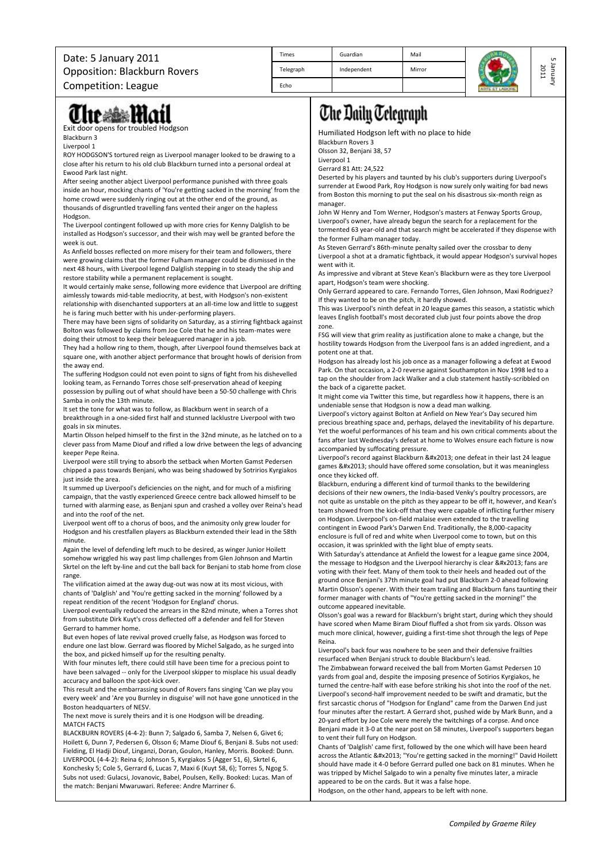| Date: 5 January 2011                | <b>Times</b> | Guardian    | Mail   | <b>U</b>       |
|-------------------------------------|--------------|-------------|--------|----------------|
| <b>Opposition: Blackburn Rovers</b> | Telegraph    | Independent | Mirror | ី ~<br>L<br>ິດ |
| Competition: League                 | Echo         |             |        |                |

## The **Mail**

Exit door opens for troubled Hodgson

Blackburn 3

Liverpool 1

ROY HODGSON'S tortured reign as Liverpool manager looked to be drawing to a close after his return to his old club Blackburn turned into a personal ordeal at Ewood Park last night.

After seeing another abject Liverpool performance punished with three goals inside an hour, mocking chants of 'You're getting sacked in the morning' from the home crowd were suddenly ringing out at the other end of the ground, as thousands of disgruntled travelling fans vented their anger on the hapless Hodgson.

The Liverpool contingent followed up with more cries for Kenny Dalglish to be installed as Hodgson's successor, and their wish may well be granted before the week is out.

As Anfield bosses reflected on more misery for their team and followers, there were growing claims that the former Fulham manager could be dismissed in the next 48 hours, with Liverpool legend Dalglish stepping in to steady the ship and restore stability while a permanent replacement is sought.

It would certainly make sense, following more evidence that Liverpool are drifting aimlessly towards mid-table mediocrity, at best, with Hodgson's non-existent relationship with disenchanted supporters at an all-time low and little to suggest he is faring much better with his under-performing players.

There may have been signs of solidarity on Saturday, as a stirring fightback against Bolton was followed by claims from Joe Cole that he and his team-mates were doing their utmost to keep their beleaguered manager in a job.

They had a hollow ring to them, though, after Liverpool found themselves back at square one, with another abject performance that brought howls of derision from the away end.

The suffering Hodgson could not even point to signs of fight from his dishevelled looking team, as Fernando Torres chose self-preservation ahead of keeping possession by pulling out of what should have been a 50-50 challenge with Chris Samba in only the 13th minute.

It set the tone for what was to follow, as Blackburn went in search of a breakthrough in a one-sided first half and stunned lacklustre Liverpool with two goals in six minutes.

Martin Olsson helped himself to the first in the 32nd minute, as he latched on to a clever pass from Mame Diouf and rifled a low drive between the legs of advancing keeper Pepe Reina.

Liverpool were still trying to absorb the setback when Morten Gamst Pedersen chipped a pass towards Benjani, who was being shadowed by Sotririos Kyrgiakos just inside the area.

It summed up Liverpool's deficiencies on the night, and for much of a misfiring campaign, that the vastly experienced Greece centre back allowed himself to be turned with alarming ease, as Benjani spun and crashed a volley over Reina's head and into the roof of the net.

Liverpool went off to a chorus of boos, and the animosity only grew louder for Hodgson and his crestfallen players as Blackburn extended their lead in the 58th minute.

Again the level of defending left much to be desired, as winger Junior Hoilett somehow wriggled his way past limp challenges from Glen Johnson and Martin Skrtel on the left by-line and cut the ball back for Benjani to stab home from close range.

The vilification aimed at the away dug-out was now at its most vicious, with chants of 'Dalglish' and 'You're getting sacked in the morning' followed by a repeat rendition of the recent 'Hodgson for England' chorus.

Liverpool eventually reduced the arrears in the 82nd minute, when a Torres shot from substitute Dirk Kuyt's cross deflected off a defender and fell for Steven Gerrard to hammer home.

But even hopes of late revival proved cruelly false, as Hodgson was forced to endure one last blow. Gerrard was floored by Michel Salgado, as he surged into the box, and picked himself up for the resulting penalty.

With four minutes left, there could still have been time for a precious point to have been salvaged -- only for the Liverpool skipper to misplace his usual deadly accuracy and balloon the spot-kick over.

This result and the embarrassing sound of Rovers fans singing 'Can we play you every week' and 'Are you Burnley in disguise' will not have gone unnoticed in the Boston headquarters of NESV.

The next move is surely theirs and it is one Hodgson will be dreading. MATCH FACTS

BLACKBURN ROVERS (4-4-2): Bunn 7; Salgado 6, Samba 7, Nelsen 6, Givet 6; Hoilett 6, Dunn 7, Pedersen 6, Olsson 6; Mame Diouf 6, Benjani 8. Subs not used: Fielding, El Hadji Diouf, Linganzi, Doran, Goulon, Hanley, Morris. Booked: Dunn. LIVERPOOL (4-4-2): Reina 6; Johnson 5, Kyrgiakos 5 (Agger 51, 6), Skrtel 6, Konchesky 5; Cole 5, Gerrard 6, Lucas 7, Maxi 6 (Kuyt 58, 6); Torres 5, Ngog 5. Subs not used: Gulacsi, Jovanovic, Babel, Poulsen, Kelly. Booked: Lucas. Man of the match: Benjani Mwaruwari. Referee: Andre Marriner 6.

## **The Daily Telegraph**

Humiliated Hodgson left with no place to hide

Blackburn Rovers 3

Olsson 32, Benjani 38, 57 Liverpool 1

Gerrard 81 Att: 24,522

Deserted by his players and taunted by his club's supporters during Liverpool's surrender at Ewood Park, Roy Hodgson is now surely only waiting for bad news from Boston this morning to put the seal on his disastrous six-month reign as manager.

John W Henry and Tom Werner, Hodgson's masters at Fenway Sports Group, Liverpool's owner, have already begun the search for a replacement for the tormented 63 year-old and that search might be accelerated if they dispense with the former Fulham manager today.

As Steven Gerrard's 86th-minute penalty sailed over the crossbar to deny

Liverpool a shot at a dramatic fightback, it would appear Hodgson's survival hopes went with it.

As impressive and vibrant at Steve Kean's Blackburn were as they tore Liverpool apart, Hodgson's team were shocking.

Only Gerrard appeared to care. Fernando Torres, Glen Johnson, Maxi Rodriguez? If they wanted to be on the pitch, it hardly showed.

This was Liverpool's ninth defeat in 20 league games this season, a statistic which leaves English football's most decorated club just four points above the drop zone.

FSG will view that grim reality as justification alone to make a change, but the hostility towards Hodgson from the Liverpool fans is an added ingredient, and a potent one at that.

Hodgson has already lost his job once as a manager following a defeat at Ewood Park. On that occasion, a 2-0 reverse against Southampton in Nov 1998 led to a tap on the shoulder from Jack Walker and a club statement hastily-scribbled on the back of a cigarette packet.

It might come via Twitter this time, but regardless how it happens, there is an undeniable sense that Hodgson is now a dead man walking.

Liverpool's victory against Bolton at Anfield on New Year's Day secured him precious breathing space and, perhaps, delayed the inevitability of his departure. Yet the woeful performances of his team and his own critical comments about the fans after last Wednesday's defeat at home to Wolves ensure each fixture is now accompanied by suffocating pressure.

Liverpool's record against Blackburn – one defeat in their last 24 league games – should have offered some consolation, but it was meaningless once they kicked off.

Blackburn, enduring a different kind of turmoil thanks to the bewildering decisions of their new owners, the India-based Venky's poultry processors, are not quite as unstable on the pitch as they appear to be off it, however, and Kean's team showed from the kick-off that they were capable of inflicting further misery on Hodgson. Liverpool's on-field malaise even extended to the travelling contingent in Ewood Park's Darwen End. Traditionally, the 8,000-capacity enclosure is full of red and white when Liverpool come to town, but on this occasion, it was sprinkled with the light blue of empty seats.

With Saturday's attendance at Anfield the lowest for a league game since 2004, the message to Hodgson and the Liverpool hierarchy is clear – fans are voting with their feet. Many of them took to their heels and headed out of the ground once Benjani's 37th minute goal had put Blackburn 2-0 ahead following Martin Olsson's opener. With their team trailing and Blackburn fans taunting their former manager with chants of "You're getting sacked in the morning!" the outcome appeared inevitable.

Olsson's goal was a reward for Blackburn's bright start, during which they should have scored when Mame Biram Diouf fluffed a shot from six yards. Olsson was much more clinical, however, guiding a first-time shot through the legs of Pepe Reina.

Liverpool's back four was nowhere to be seen and their defensive frailties resurfaced when Benjani struck to double Blackburn's lead.

The Zimbabwean forward received the ball from Morten Gamst Pedersen 10 yards from goal and, despite the imposing presence of Sotirios Kyrgiakos, he turned the centre-half with ease before striking his shot into the roof of the net. Liverpool's second-half improvement needed to be swift and dramatic, but the first sarcastic chorus of "Hodgson for England" came from the Darwen End just four minutes after the restart. A Gerrard shot, pushed wide by Mark Bunn, and a 20-yard effort by Joe Cole were merely the twitchings of a corpse. And once Benjani made it 3-0 at the near post on 58 minutes, Liverpool's supporters began to vent their full fury on Hodgson.

Chants of 'Dalglish' came first, followed by the one which will have been heard across the Atlantic – "You're getting sacked in the morning!" David Hoilett should have made it 4-0 before Gerrard pulled one back on 81 minutes. When he was tripped by Michel Salgado to win a penalty five minutes later, a miracle appeared to be on the cards. But it was a false hope. Hodgson, on the other hand, appears to be left with none.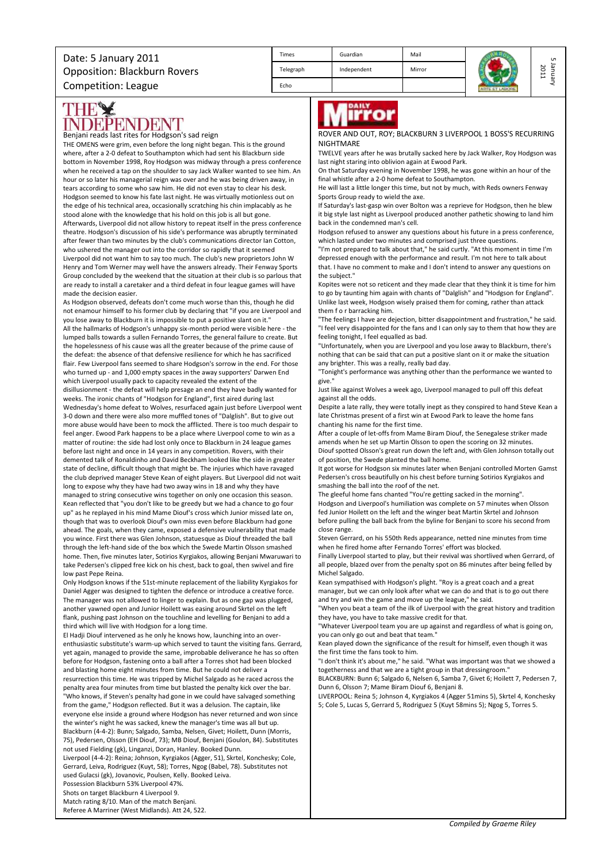#### Date: 5 January 2011 Opposition: Blackburn Rovers Competition: League

| Times     | Guardian    | Mail   |
|-----------|-------------|--------|
| Telegraph | Independent | Mirror |
| Echo      |             |        |



### THEX EPENDENT Benjani reads last rites for Hodgson's sad reign

THE OMENS were grim, even before the long night began. This is the ground where, after a 2-0 defeat to Southampton which had sent his Blackburn side bottom in November 1998, Roy Hodgson was midway through a press conference when he received a tap on the shoulder to say Jack Walker wanted to see him. An hour or so later his managerial reign was over and he was being driven away, in tears according to some who saw him. He did not even stay to clear his desk. Hodgson seemed to know his fate last night. He was virtually motionless out on the edge of his technical area, occasionally scratching his chin implacably as he stood alone with the knowledge that his hold on this job is all but gone. Afterwards, Liverpool did not allow history to repeat itself in the press conference theatre. Hodgson's discussion of his side's performance was abruptly terminated after fewer than two minutes by the club's communications director Ian Cotton, who ushered the manager out into the corridor so rapidly that it seemed Liverpool did not want him to say too much. The club's new proprietors John W Henry and Tom Werner may well have the answers already. Their Fenway Sports Group concluded by the weekend that the situation at their club is so parlous that are ready to install a caretaker and a third defeat in four league games will have made the decision easier.

As Hodgson observed, defeats don't come much worse than this, though he did not enamour himself to his former club by declaring that "if you are Liverpool and you lose away to Blackburn it is impossible to put a positive slant on it." All the hallmarks of Hodgson's unhappy six-month period were visible here - the lumped balls towards a sullen Fernando Torres, the general failure to create. But the hopelessness of his cause was all the greater because of the prime cause of the defeat: the absence of that defensive resilience for which he has sacrificed flair. Few Liverpool fans seemed to share Hodgson's sorrow in the end. For those who turned up - and 1,000 empty spaces in the away supporters' Darwen End which Liverpool usually pack to capacity revealed the extent of the disillusionment - the defeat will help presage an end they have badly wanted for weeks. The ironic chants of "Hodgson for England", first aired during last Wednesday's home defeat to Wolves, resurfaced again just before Liverpool went 3-0 down and there were also more muffled tones of "Dalglish". But to give out more abuse would have been to mock the afflicted. There is too much despair to feel anger. Ewood Park happens to be a place where Liverpool come to win as a matter of routine: the side had lost only once to Blackburn in 24 league games before last night and once in 14 years in any competition. Rovers, with their demented talk of Ronaldinho and David Beckham looked like the side in greater state of decline, difficult though that might be. The injuries which have ravaged the club deprived manager Steve Kean of eight players. But Liverpool did not wait long to expose why they have had two away wins in 18 and why they have managed to string consecutive wins together on only one occasion this season. Kean reflected that "you don't like to be greedy but we had a chance to go four up" as he replayed in his mind Mame Diouf's cross which Junior missed late on, though that was to overlook Diouf's own miss even before Blackburn had gone ahead. The goals, when they came, exposed a defensive vulnerability that made you wince. First there was Glen Johnson, statuesque as Diouf threaded the ball through the left-hand side of the box which the Swede Martin Olsson smashed home. Then, five minutes later, Sotirios Kyrgiakos, allowing Benjani Mwaruwari to take Pedersen's clipped free kick on his chest, back to goal, then swivel and fire low past Pepe Reina.

Only Hodgson knows if the 51st-minute replacement of the liability Kyrgiakos for Daniel Agger was designed to tighten the defence or introduce a creative force. The manager was not allowed to linger to explain. But as one gap was plugged, another yawned open and Junior Hoilett was easing around Skrtel on the left flank, pushing past Johnson on the touchline and levelling for Benjani to add a third which will live with Hodgson for a long time.

El Hadji Diouf intervened as he only he knows how, launching into an overenthusiastic substitute's warm-up which served to taunt the visiting fans. Gerrard, yet again, managed to provide the same, improbable deliverance he has so often before for Hodgson, fastening onto a ball after a Torres shot had been blocked and blasting home eight minutes from time. But he could not deliver a resurrection this time. He was tripped by Michel Salgado as he raced across the penalty area four minutes from time but blasted the penalty kick over the bar. "Who knows, if Steven's penalty had gone in we could have salvaged something from the game," Hodgson reflected. But it was a delusion. The captain, like everyone else inside a ground where Hodgson has never returned and won since the winter's night he was sacked, knew the manager's time was all but up. Blackburn (4-4-2): Bunn; Salgado, Samba, Nelsen, Givet; Hoilett, Dunn (Morris, 75), Pedersen, Olsson (EH Diouf, 73); MB Diouf, Benjani (Goulon, 84). Substitutes not used Fielding (gk), Linganzi, Doran, Hanley. Booked Dunn. Liverpool (4-4-2): Reina; Johnson, Kyrgiakos (Agger, 51), Skrtel, Konchesky; Cole, Gerrard, Leiva, Rodriguez (Kuyt, 58); Torres, Ngog (Babel, 78). Substitutes not used Gulacsi (gk), Jovanovic, Poulsen, Kelly. Booked Leiva. Possession Blackburn 53% Liverpool 47%. Shots on target Blackburn 4 Liverpool 9.

Match rating 8/10. Man of the match Benjani. Referee A Marriner (West Midlands). Att 24, 522.



#### ROVER AND OUT, ROY; BLACKBURN 3 LIVERPOOL 1 BOSS'S RECURRING NIGHTMARE

TWELVE years after he was brutally sacked here by Jack Walker, Roy Hodgson was last night staring into oblivion again at Ewood Park.

On that Saturday evening in November 1998, he was gone within an hour of the final whistle after a 2-0 home defeat to Southampton.

He will last a little longer this time, but not by much, with Reds owners Fenway Sports Group ready to wield the axe.

If Saturday's last-gasp win over Bolton was a reprieve for Hodgson, then he blew it big style last night as Liverpool produced another pathetic showing to land him back in the condemned man's cell.

Hodgson refused to answer any questions about his future in a press conference, which lasted under two minutes and comprised just three questions.

"I'm not prepared to talk about that," he said curtly. "At this moment in time I'm depressed enough with the performance and result. I'm not here to talk about that. I have no comment to make and I don't intend to answer any questions on the subject."

Kopites were not so reticent and they made clear that they think it is time for him to go by taunting him again with chants of "Dalglish" and "Hodgson for England". Unlike last week, Hodgson wisely praised them for coming, rather than attack them f o r barracking him.

"The feelings I have are dejection, bitter disappointment and frustration," he said. "I feel very disappointed for the fans and I can only say to them that how they are feeling tonight, I feel equalled as bad.

"Unfortunately, when you are Liverpool and you lose away to Blackburn, there's nothing that can be said that can put a positive slant on it or make the situation any brighter. This was a really, really bad day.

"Tonight's performance was anything other than the performance we wanted to give."

Just like against Wolves a week ago, Liverpool managed to pull off this defeat against all the odds.

Despite a late rally, they were totally inept as they conspired to hand Steve Kean a late Christmas present of a first win at Ewood Park to leave the home fans chanting his name for the first time.

After a couple of let-offs from Mame Biram Diouf, the Senegalese striker made amends when he set up Martin Olsson to open the scoring on 32 minutes. Diouf spotted Olsson's great run down the left and, with Glen Johnson totally out of position, the Swede planted the ball home.

It got worse for Hodgson six minutes later when Benjani controlled Morten Gamst Pedersen's cross beautifully on his chest before turning Sotirios Kyrgiakos and smashing the ball into the roof of the net.

The gleeful home fans chanted "You're getting sacked in the morning". Hodgson and Liverpool's humiliation was complete on 57 minutes when Olsson fed Junior Hoilett on the left and the winger beat Martin Skrtel and Johnson before pulling the ball back from the byline for Benjani to score his second from close range.

Steven Gerrard, on his 550th Reds appearance, netted nine minutes from time when he fired home after Fernando Torres' effort was blocked.

Finally Liverpool started to play, but their revival was shortlived when Gerrard, of all people, blazed over from the penalty spot on 86 minutes after being felled by Michel Salgado.

Kean sympathised with Hodgson's plight. "Roy is a great coach and a great manager, but we can only look after what we can do and that is to go out there and try and win the game and move up the league," he said.

"When you beat a team of the ilk of Liverpool with the great history and tradition they have, you have to take massive credit for that.

"Whatever Liverpool team you are up against and regardless of what is going on, you can only go out and beat that team.

Kean played down the significance of the result for himself, even though it was the first time the fans took to him.

"I don't think it's about me," he said. "What was important was that we showed a togetherness and that we are a tight group in that dressingroom."

BLACKBURN: Bunn 6; Salgado 6, Nelsen 6, Samba 7, Givet 6; Hoilett 7, Pedersen 7, Dunn 6, Olsson 7; Mame Biram Diouf 6, Benjani 8.

LIVERPOOL: Reina 5; Johnson 4, Kyrgiakos 4 (Agger 51mins 5), Skrtel 4, Konchesky 5; Cole 5, Lucas 5, Gerrard 5, Rodriguez 5 (Kuyt 58mins 5); Ngog 5, Torres 5.